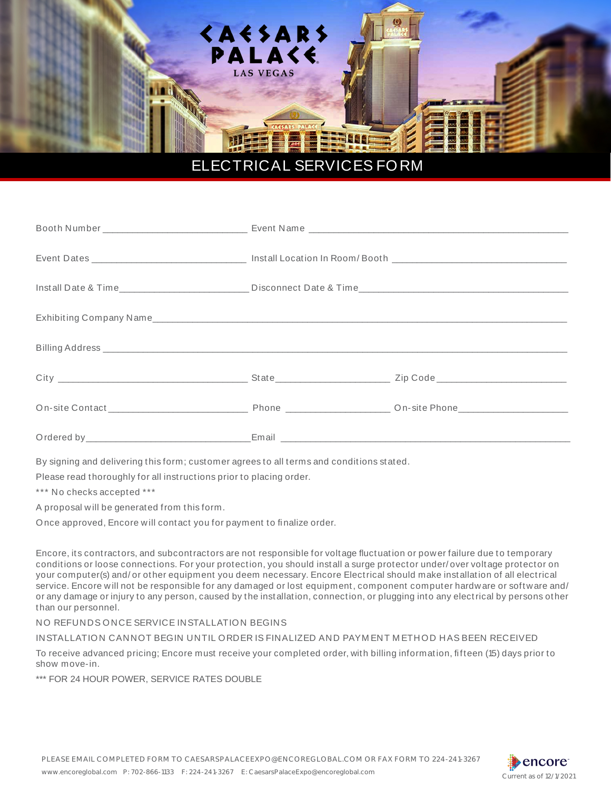

## ELECTRICAL SERVICES FORM

By signing and delivering this form; customer agrees to all terms and conditions stated.

Please read thoroughly for all instructions prior to placing order.

\*\*\* No checks accepted \*\*\*

A proposal w ill be generated from this form.

Once approved, Encore w ill contact you for payment to finalize order.

Encore, it s contractors, and subcontractors are not responsible for voltage fluctuation or power failure due to temporary conditions or loose connections. For your protection, you should install a surge protector under/ over voltage protector on your computer(s) and/ or other equipment you deem necessary. Encore Electrical should make installation of all electrical service. Encore will not be responsible for any damaged or lost equipment, component computer hardware or software and/ or any damage or injury to any person, caused by the installation, connection, or plugging into any electrical by persons other than our personnel.

NO REFUNDS ONCE SERVICE INSTALLATION BEGINS

INSTALLATION CANNOT BEGIN UNTIL ORDER IS FINALIZED AND PAYM ENT M ETHOD HAS BEEN RECEIVED

To receive advanced pricing; Encore must receive your completed order, with billing information, fifteen (15) days prior to show move-in.

\*\*\* FOR 24 HOUR POWER, SERVICE RATES DOUBLE

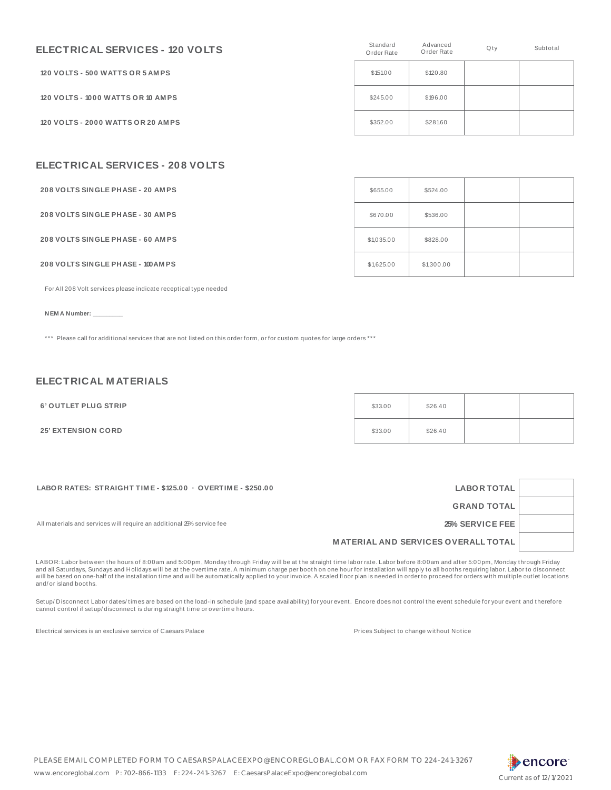| ELECTRICAL SERVICES - 120 VOLTS   | Standard<br>Order Rate | Advanced<br>Order Rate | Qty | Subtotal |
|-----------------------------------|------------------------|------------------------|-----|----------|
| 120 VOLTS - 500 WATTS OR 5 AMPS   | \$151.00               | \$120.80               |     |          |
| 120 VOLTS - 1000 WATTS OR 10 AMPS | \$245.00               | \$196.00               |     |          |
| 120 VOLTS - 2000 WATTS OR 20 AMPS | \$352.00               | \$281.60               |     |          |

## **ELECTRICAL SERVICES - 208 VOLTS**

| <b>208 VOLTS SINGLE PHASE - 20 AMPS</b>   | \$655.00   | \$524.00   |  |
|-------------------------------------------|------------|------------|--|
| <b>208 VOLTS SINGLE PHASE - 30 AMPS</b>   | \$670.00   | \$536.00   |  |
| <b>208 VOLTS SINGLE PHASE - 60 AMPS</b>   | \$1,035.00 | \$828.00   |  |
| <b>208 VOLTS SINGLE PHASE - 100 AM PS</b> | \$1,625.00 | \$1,300.00 |  |

For All 208 Volt services please indicate receptical type needed

**NEM A Number: \_\_\_\_\_\_\_\_\_**

\*\*\* Please call for additional services that are not listed on this order form, or for custom quotes for large orders \*\*\*

## **ELECTRICAL M ATERIALS**

| 6' OUTLET PLUG STRIP      | \$33.00 | \$26.40 |  |
|---------------------------|---------|---------|--|
| <b>25' EXTENSION CORD</b> | \$33.00 | \$26.40 |  |

| LABOR RATES: STRAIGHT TIME - \$125.00 · OVERTIME - \$250.00           | <b>LABOR TOTAL</b>                         |  |
|-----------------------------------------------------------------------|--------------------------------------------|--|
|                                                                       | <b>GRAND TOTAL</b>                         |  |
| All materials and services will require an additional 25% service fee | 25% SERVICE FEE                            |  |
|                                                                       | <b>MATERIAL AND SERVICES OVERALL TOTAL</b> |  |
|                                                                       |                                            |  |

LABOR: Labor between the hours of 8:00am and 5:00pm, Monday through Friday will be at the straight time labor rate. Labor before 8:00am and after 5:00pm, Monday through Friday<br>and all Saturdays, Sundays and Holidays will b will be based on one-half of the installation time and will be automatically applied to your invoice. A scaled floor plan is needed in order to proceed for orders with multiple outlet locations and/ or island booths.

Setup/Disconnect Labor dates/ times are based on the load-in schedule (and space availability) for your event. Encore does not control the event schedule for your event and therefore cannot control if setup/ disconnect is during straight time or overtime hours.

Electrical services is an exclusive service of Caesars Palace **Prices Subject to change without Notice** Prices Subject to change without Notice